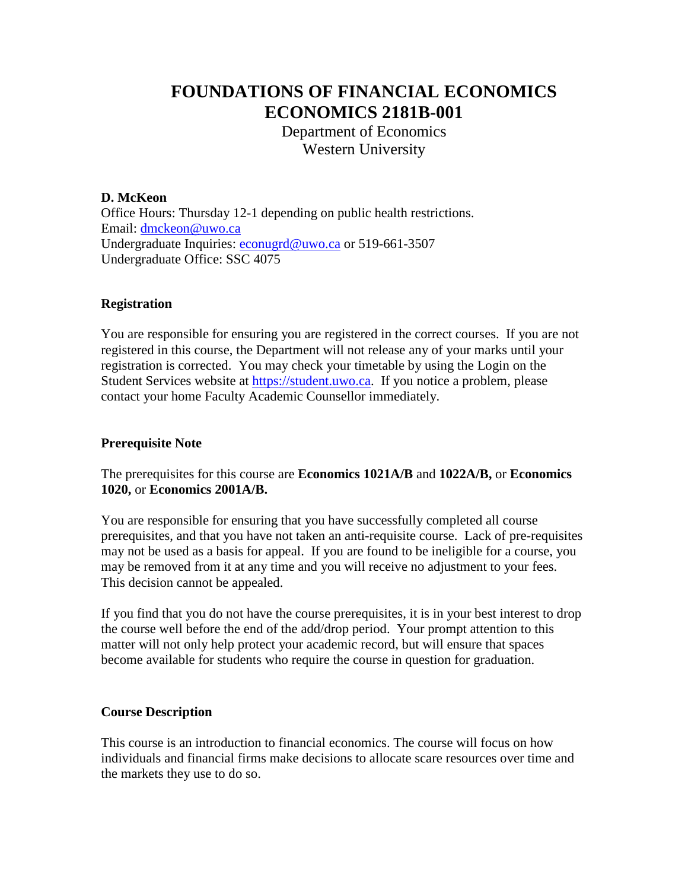# **FOUNDATIONS OF FINANCIAL ECONOMICS ECONOMICS 2181B-001**

Department of Economics Western University

## **D. McKeon**

Office Hours: Thursday 12-1 depending on public health restrictions. Email: [dmckeon@uwo.ca](mailto:dmckeon@uwo.ca) Undergraduate Inquiries: [econugrd@uwo.ca](mailto:econugrd@uwo.ca) or 519-661-3507 Undergraduate Office: SSC 4075

## **Registration**

You are responsible for ensuring you are registered in the correct courses. If you are not registered in this course, the Department will not release any of your marks until your registration is corrected. You may check your timetable by using the Login on the Student Services website at [https://student.uwo.ca.](https://student.uwo.ca/) If you notice a problem, please contact your home Faculty Academic Counsellor immediately.

### **Prerequisite Note**

The prerequisites for this course are **Economics 1021A/B** and **1022A/B,** or **Economics 1020,** or **Economics 2001A/B.**

You are responsible for ensuring that you have successfully completed all course prerequisites, and that you have not taken an anti-requisite course. Lack of pre-requisites may not be used as a basis for appeal. If you are found to be ineligible for a course, you may be removed from it at any time and you will receive no adjustment to your fees. This decision cannot be appealed.

If you find that you do not have the course prerequisites, it is in your best interest to drop the course well before the end of the add/drop period. Your prompt attention to this matter will not only help protect your academic record, but will ensure that spaces become available for students who require the course in question for graduation.

#### **Course Description**

This course is an introduction to financial economics. The course will focus on how individuals and financial firms make decisions to allocate scare resources over time and the markets they use to do so.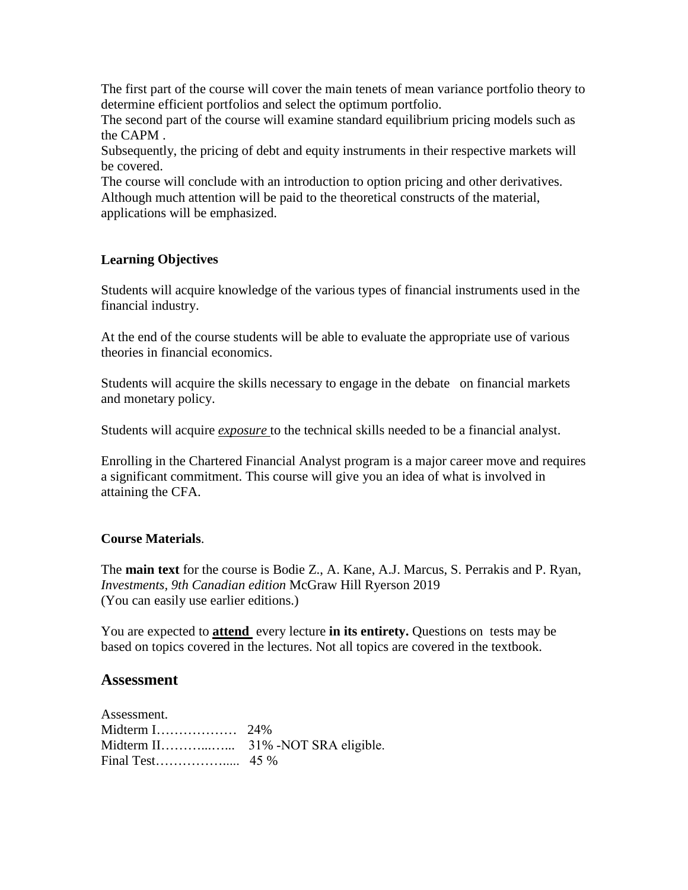The first part of the course will cover the main tenets of mean variance portfolio theory to determine efficient portfolios and select the optimum portfolio.

The second part of the course will examine standard equilibrium pricing models such as the CAPM .

Subsequently, the pricing of debt and equity instruments in their respective markets will be covered.

The course will conclude with an introduction to option pricing and other derivatives. Although much attention will be paid to the theoretical constructs of the material, applications will be emphasized.

# **Learning Objectives**

Students will acquire knowledge of the various types of financial instruments used in the financial industry.

At the end of the course students will be able to evaluate the appropriate use of various theories in financial economics.

Students will acquire the skills necessary to engage in the debate on financial markets and monetary policy.

Students will acquire *exposure* to the technical skills needed to be a financial analyst.

Enrolling in the Chartered Financial Analyst program is a major career move and requires a significant commitment. This course will give you an idea of what is involved in attaining the CFA.

#### **Course Materials**.

The **main text** for the course is Bodie Z., A. Kane, A.J. Marcus, S. Perrakis and P. Ryan, *Investments, 9th Canadian edition* McGraw Hill Ryerson 2019 (You can easily use earlier editions.)

You are expected to **attend** every lecture **in its entirety.** Questions on tests may be based on topics covered in the lectures. Not all topics are covered in the textbook.

# **Assessment**

Assessment. Midterm I……………… 24% Midterm II………...…... 31% -NOT SRA eligible. Final Test……………..... 45 %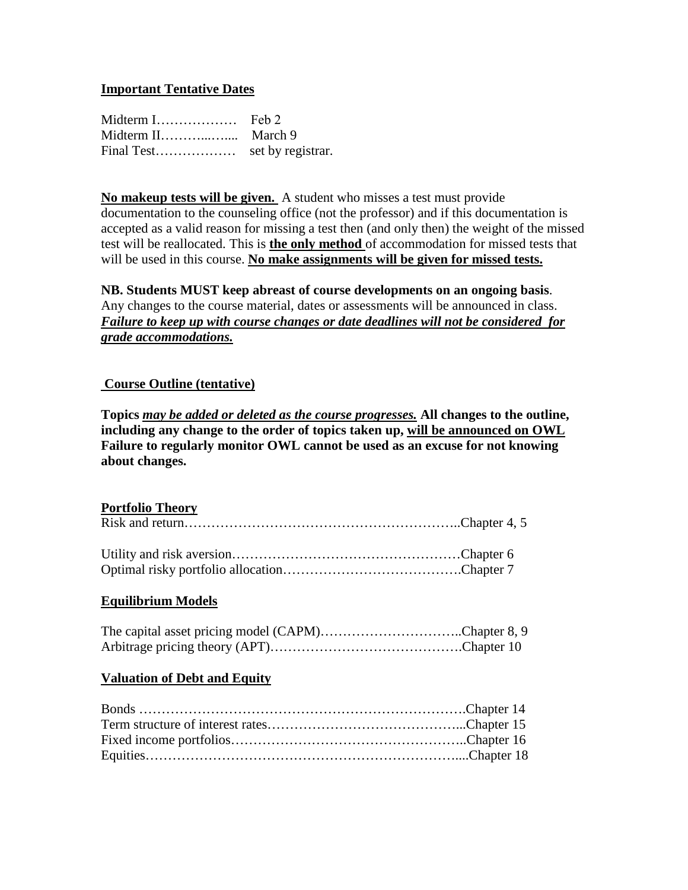## **Important Tentative Dates**

| Midterm I  | Feb 2             |
|------------|-------------------|
|            |                   |
| Final Test | set by registrar. |

**No makeup tests will be given.** A student who misses a test must provide documentation to the counseling office (not the professor) and if this documentation is accepted as a valid reason for missing a test then (and only then) the weight of the missed test will be reallocated. This is **the only method** of accommodation for missed tests that will be used in this course. **No make assignments will be given for missed tests.** 

**NB. Students MUST keep abreast of course developments on an ongoing basis**. Any changes to the course material, dates or assessments will be announced in class. *Failure to keep up with course changes or date deadlines will not be considered for grade accommodations.* 

#### **Course Outline (tentative)**

**Topics** *may be added or deleted as the course progresses.* **All changes to the outline, including any change to the order of topics taken up, will be announced on OWL Failure to regularly monitor OWL cannot be used as an excuse for not knowing about changes.**

#### **Portfolio Theory**

#### **Equilibrium Models**

| The capital asset pricing model (CAPM)Chapter 8, 9 |  |
|----------------------------------------------------|--|
|                                                    |  |

## **Valuation of Debt and Equity**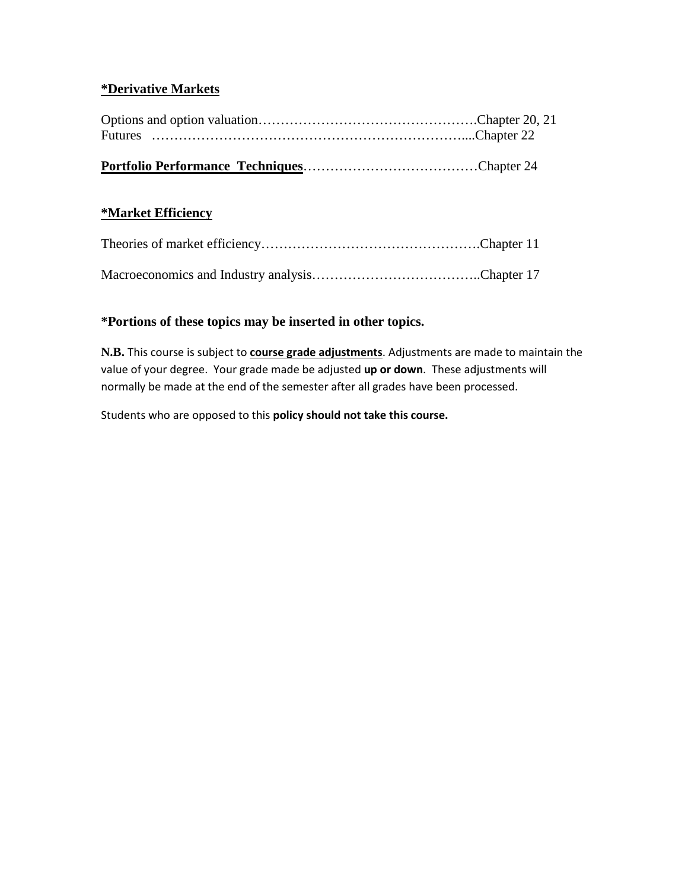# **\*Derivative Markets**

# **\*Market Efficiency**

# **\*Portions of these topics may be inserted in other topics.**

**N.B.** This course is subject to **course grade adjustments**. Adjustments are made to maintain the value of your degree. Your grade made be adjusted **up or down**. These adjustments will normally be made at the end of the semester after all grades have been processed.

Students who are opposed to this **policy should not take this course.**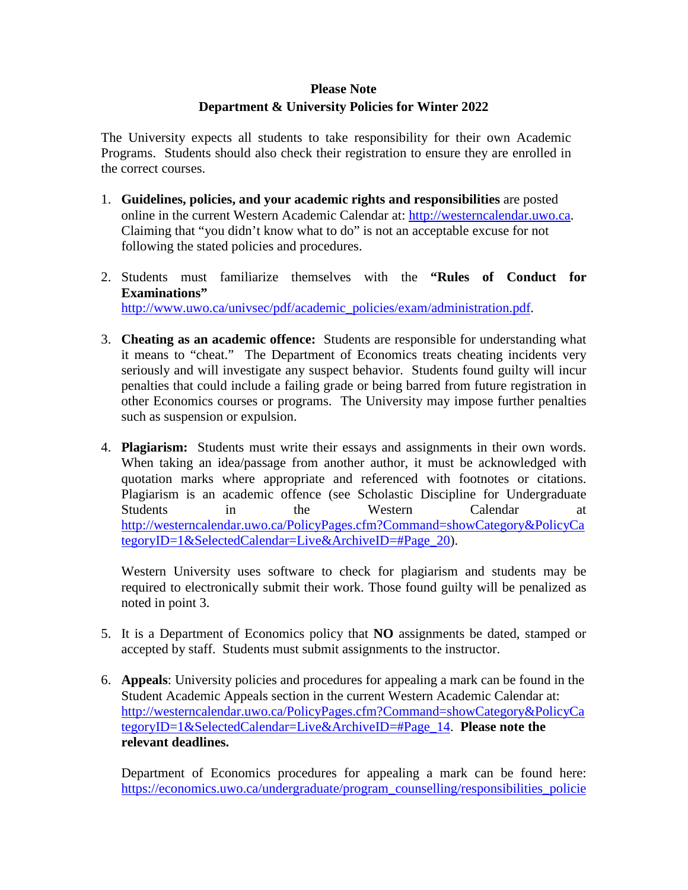# **Please Note Department & University Policies for Winter 2022**

The University expects all students to take responsibility for their own Academic Programs. Students should also check their registration to ensure they are enrolled in the correct courses.

- 1. **Guidelines, policies, and your academic rights and responsibilities** are posted online in the current Western Academic Calendar at: [http://westerncalendar.uwo.ca.](http://westerncalendar.uwo.ca/) Claiming that "you didn't know what to do" is not an acceptable excuse for not following the stated policies and procedures.
- 2. Students must familiarize themselves with the **"Rules of Conduct for Examinations"** [http://www.uwo.ca/univsec/pdf/academic\\_policies/exam/administration.pdf.](http://www.uwo.ca/univsec/pdf/academic_policies/exam/administration.pdf)
- 3. **Cheating as an academic offence:** Students are responsible for understanding what it means to "cheat." The Department of Economics treats cheating incidents very seriously and will investigate any suspect behavior. Students found guilty will incur penalties that could include a failing grade or being barred from future registration in other Economics courses or programs. The University may impose further penalties such as suspension or expulsion.
- 4. **Plagiarism:** Students must write their essays and assignments in their own words. When taking an idea/passage from another author, it must be acknowledged with quotation marks where appropriate and referenced with footnotes or citations. Plagiarism is an academic offence (see Scholastic Discipline for Undergraduate Students in the Western Calendar at [http://westerncalendar.uwo.ca/PolicyPages.cfm?Command=showCategory&PolicyCa](http://westerncalendar.uwo.ca/PolicyPages.cfm?Command=showCategory&PolicyCategoryID=1&SelectedCalendar=Live&ArchiveID=#Page_20) [tegoryID=1&SelectedCalendar=Live&ArchiveID=#Page\\_20\)](http://westerncalendar.uwo.ca/PolicyPages.cfm?Command=showCategory&PolicyCategoryID=1&SelectedCalendar=Live&ArchiveID=#Page_20).

Western University uses software to check for plagiarism and students may be required to electronically submit their work. Those found guilty will be penalized as noted in point 3.

- 5. It is a Department of Economics policy that **NO** assignments be dated, stamped or accepted by staff. Students must submit assignments to the instructor.
- 6. **Appeals**: University policies and procedures for appealing a mark can be found in the Student Academic Appeals section in the current Western Academic Calendar at: [http://westerncalendar.uwo.ca/PolicyPages.cfm?Command=showCategory&PolicyCa](http://westerncalendar.uwo.ca/PolicyPages.cfm?Command=showCategory&PolicyCategoryID=1&SelectedCalendar=Live&ArchiveID=#Page_14) [tegoryID=1&SelectedCalendar=Live&ArchiveID=#Page\\_14.](http://westerncalendar.uwo.ca/PolicyPages.cfm?Command=showCategory&PolicyCategoryID=1&SelectedCalendar=Live&ArchiveID=#Page_14) **Please note the relevant deadlines.**

Department of Economics procedures for appealing a mark can be found here: [https://economics.uwo.ca/undergraduate/program\\_counselling/responsibilities\\_policie](https://economics.uwo.ca/undergraduate/program_counselling/responsibilities_policies.html#appeals)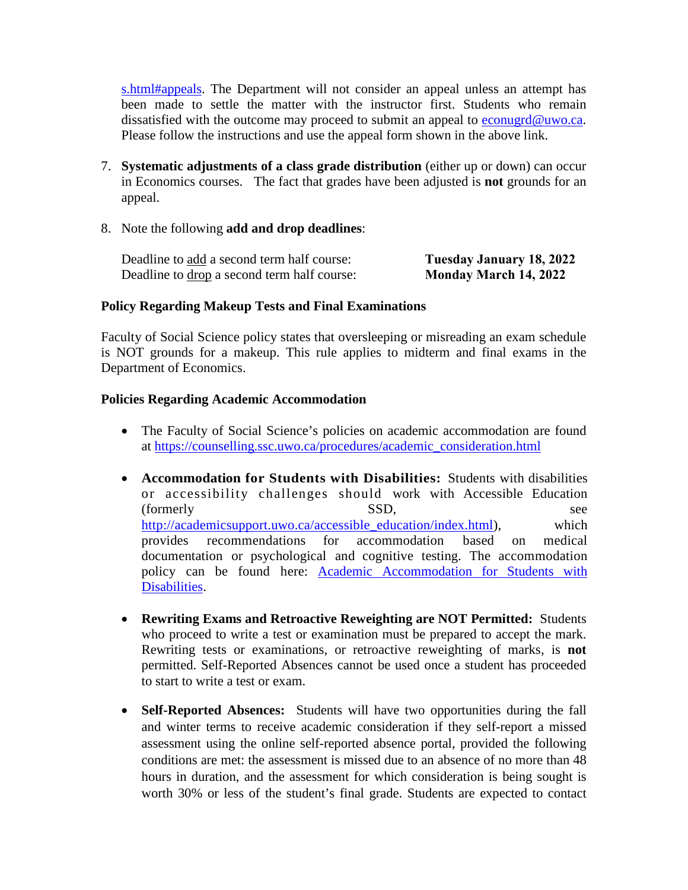[s.html#appeals.](https://economics.uwo.ca/undergraduate/program_counselling/responsibilities_policies.html#appeals) The Department will not consider an appeal unless an attempt has been made to settle the matter with the instructor first. Students who remain dissatisfied with the outcome may proceed to submit an appeal to [econugrd@uwo.ca.](mailto:econugrd@uwo.ca) Please follow the instructions and use the appeal form shown in the above link.

- 7. **Systematic adjustments of a class grade distribution** (either up or down) can occur in Economics courses. The fact that grades have been adjusted is **not** grounds for an appeal.
- 8. Note the following **add and drop deadlines**:

| Deadline to add a second term half course:         | Tuesday January 18, 2022     |
|----------------------------------------------------|------------------------------|
| Deadline to <u>drop</u> a second term half course: | <b>Monday March 14, 2022</b> |

#### **Policy Regarding Makeup Tests and Final Examinations**

Faculty of Social Science policy states that oversleeping or misreading an exam schedule is NOT grounds for a makeup. This rule applies to midterm and final exams in the Department of Economics.

#### **Policies Regarding Academic Accommodation**

- The Faculty of Social Science's policies on academic accommodation are found at [https://counselling.ssc.uwo.ca/procedures/academic\\_consideration.html](https://counselling.ssc.uwo.ca/procedures/academic_consideration.html)
- **Accommodation for Students with Disabilities:** Students with disabilities or accessibility challenges should work with Accessible Education (formerly SSD, see [http://academicsupport.uwo.ca/accessible\\_education/index.html\)](http://academicsupport.uwo.ca/accessible_education/index.html), which provides recommendations for accommodation based on medical documentation or psychological and cognitive testing. The accommodation policy can be found here: [Academic Accommodation for Students with](https://www.uwo.ca/univsec/pdf/academic_policies/appeals/Academic%20Accommodation_disabilities.pdf)  [Disabilities.](https://www.uwo.ca/univsec/pdf/academic_policies/appeals/Academic%20Accommodation_disabilities.pdf)
- **Rewriting Exams and Retroactive Reweighting are NOT Permitted:** Students who proceed to write a test or examination must be prepared to accept the mark. Rewriting tests or examinations, or retroactive reweighting of marks, is **not** permitted. Self-Reported Absences cannot be used once a student has proceeded to start to write a test or exam.
- **Self-Reported Absences:** Students will have two opportunities during the fall and winter terms to receive academic consideration if they self-report a missed assessment using the online self-reported absence portal, provided the following conditions are met: the assessment is missed due to an absence of no more than 48 hours in duration, and the assessment for which consideration is being sought is worth 30% or less of the student's final grade. Students are expected to contact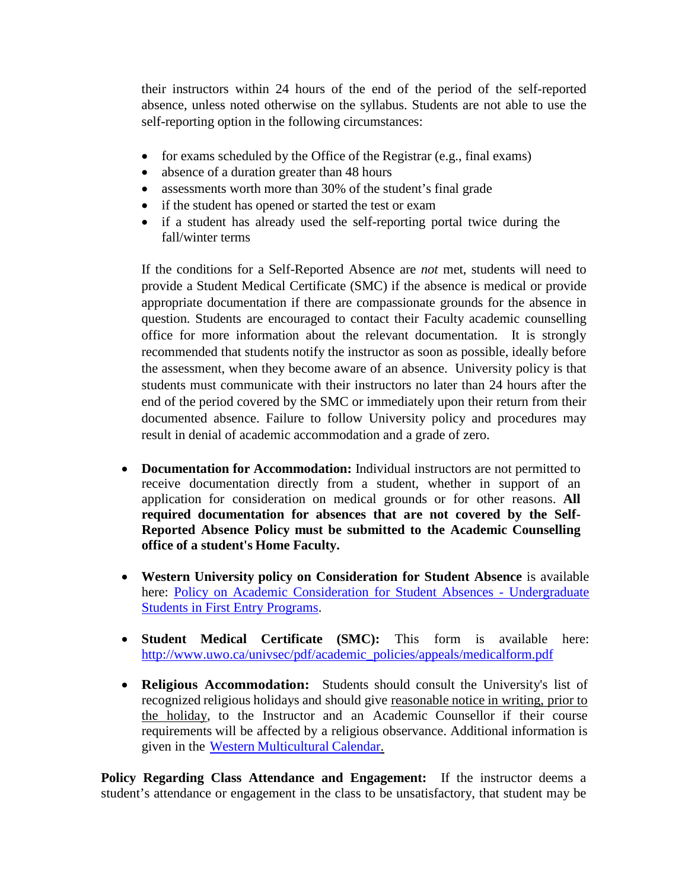their instructors within 24 hours of the end of the period of the self-reported absence, unless noted otherwise on the syllabus. Students are not able to use the self-reporting option in the following circumstances:

- for exams scheduled by the Office of the Registrar (e.g., final exams)
- absence of a duration greater than 48 hours
- assessments worth more than 30% of the student's final grade
- if the student has opened or started the test or exam
- if a student has already used the self-reporting portal twice during the fall/winter terms

If the conditions for a Self-Reported Absence are *not* met, students will need to provide a Student Medical Certificate (SMC) if the absence is medical or provide appropriate documentation if there are compassionate grounds for the absence in question. Students are encouraged to contact their Faculty academic counselling office for more information about the relevant documentation. It is strongly recommended that students notify the instructor as soon as possible, ideally before the assessment, when they become aware of an absence. University policy is that students must communicate with their instructors no later than 24 hours after the end of the period covered by the SMC or immediately upon their return from their documented absence. Failure to follow University policy and procedures may result in denial of academic accommodation and a grade of zero.

- **Documentation for Accommodation:** Individual instructors are not permitted to receive documentation directly from a student, whether in support of an application for consideration on medical grounds or for other reasons. **All required documentation for absences that are not covered by the Self-Reported Absence Policy must be submitted to the Academic Counselling office of a student's Home Faculty.**
- **Western University policy on Consideration for Student Absence** is available here: [Policy on Academic Consideration for Student Absences -](https://www.uwo.ca/univsec/pdf/academic_policies/appeals/accommodation_illness.pdf) Undergraduate [Students in First Entry Programs.](https://www.uwo.ca/univsec/pdf/academic_policies/appeals/accommodation_illness.pdf)
- **Student Medical Certificate (SMC):** This form is available here: [http://www.uwo.ca/univsec/pdf/academic\\_policies/appeals/medicalform.pdf](http://www.uwo.ca/univsec/pdf/academic_policies/appeals/medicalform.pdf)
- **Religious Accommodation:** Students should consult the University's list of recognized religious holidays and should give reasonable notice in writing, prior to the holiday, to the Instructor and an Academic Counsellor if their course requirements will be affected by a religious observance. Additional information is given in the Western [Multicultural](https://multiculturalcalendar.com/ecal/index.php?s=c-univwo) Calendar.

**Policy Regarding Class Attendance and Engagement:** If the instructor deems a student's attendance or engagement in the class to be unsatisfactory, that student may be